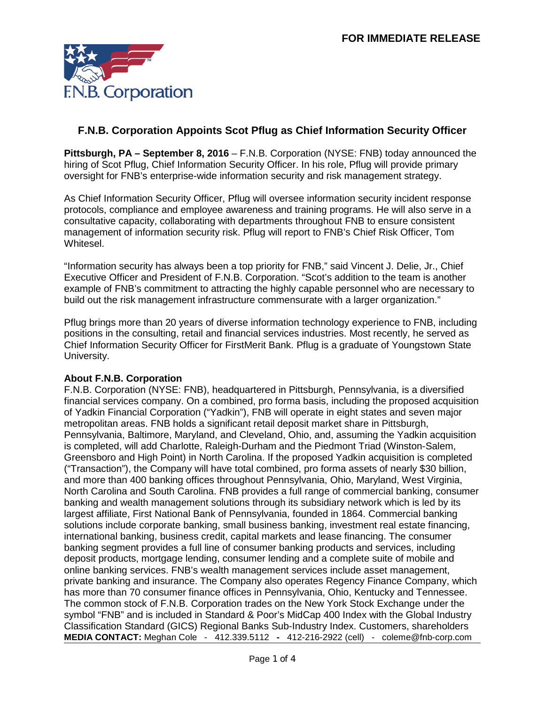

## **F.N.B. Corporation Appoints Scot Pflug as Chief Information Security Officer**

**Pittsburgh, PA – September 8, 2016** – F.N.B. Corporation (NYSE: FNB) today announced the hiring of Scot Pflug, Chief Information Security Officer. In his role, Pflug will provide primary oversight for FNB's enterprise-wide information security and risk management strategy.

As Chief Information Security Officer, Pflug will oversee information security incident response protocols, compliance and employee awareness and training programs. He will also serve in a consultative capacity, collaborating with departments throughout FNB to ensure consistent management of information security risk. Pflug will report to FNB's Chief Risk Officer, Tom Whitesel.

"Information security has always been a top priority for FNB," said Vincent J. Delie, Jr., Chief Executive Officer and President of F.N.B. Corporation. "Scot's addition to the team is another example of FNB's commitment to attracting the highly capable personnel who are necessary to build out the risk management infrastructure commensurate with a larger organization."

Pflug brings more than 20 years of diverse information technology experience to FNB, including positions in the consulting, retail and financial services industries. Most recently, he served as Chief Information Security Officer for FirstMerit Bank. Pflug is a graduate of Youngstown State University.

## **About F.N.B. Corporation**

**MEDIA CONTACT:** Meghan Cole - [412.339.5112](mailto:412.339.5112) **-** 412-216-2922 (cell) - coleme@fnb-corp.com F.N.B. Corporation (NYSE: FNB), headquartered in Pittsburgh, Pennsylvania, is a diversified financial services company. On a combined, pro forma basis, including the proposed acquisition of Yadkin Financial Corporation ("Yadkin"), FNB will operate in eight states and seven major metropolitan areas. FNB holds a significant retail deposit market share in Pittsburgh, Pennsylvania, Baltimore, Maryland, and Cleveland, Ohio, and, assuming the Yadkin acquisition is completed, will add Charlotte, Raleigh-Durham and the Piedmont Triad (Winston-Salem, Greensboro and High Point) in North Carolina. If the proposed Yadkin acquisition is completed ("Transaction"), the Company will have total combined, pro forma assets of nearly \$30 billion, and more than 400 banking offices throughout Pennsylvania, Ohio, Maryland, West Virginia, North Carolina and South Carolina. FNB provides a full range of commercial banking, consumer banking and wealth management solutions through its subsidiary network which is led by its largest affiliate, First National Bank of Pennsylvania, founded in 1864. Commercial banking solutions include corporate banking, small business banking, investment real estate financing, international banking, business credit, capital markets and lease financing. The consumer banking segment provides a full line of consumer banking products and services, including deposit products, mortgage lending, consumer lending and a complete suite of mobile and online banking services. FNB's wealth management services include asset management, private banking and insurance. The Company also operates Regency Finance Company, which has more than 70 consumer finance offices in Pennsylvania, Ohio, Kentucky and Tennessee. The common stock of F.N.B. Corporation trades on the New York Stock Exchange under the symbol "FNB" and is included in Standard & Poor's MidCap 400 Index with the Global Industry Classification Standard (GICS) Regional Banks Sub-Industry Index. Customers, shareholders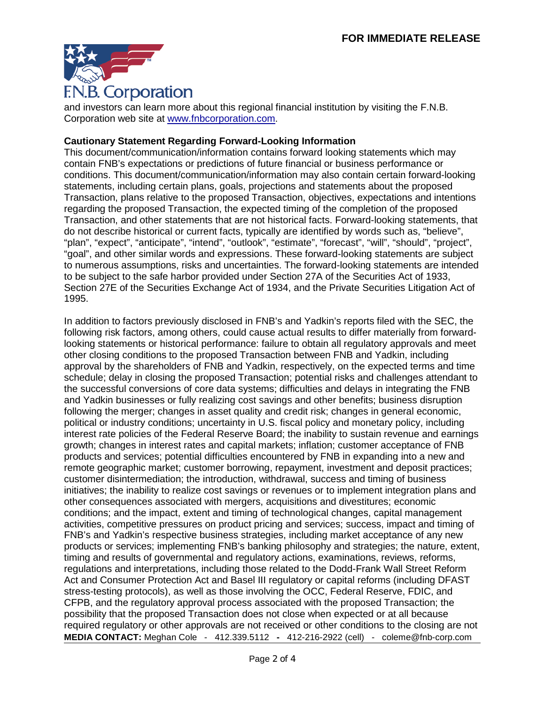

and investors can learn more about this regional financial institution by visiting the F.N.B. Corporation web site at [www.fnbcorporation.com.](https://www.fnb-online.com/)

## **Cautionary Statement Regarding Forward-Looking Information**

This document/communication/information contains forward looking statements which may contain FNB's expectations or predictions of future financial or business performance or conditions. This document/communication/information may also contain certain forward-looking statements, including certain plans, goals, projections and statements about the proposed Transaction, plans relative to the proposed Transaction, objectives, expectations and intentions regarding the proposed Transaction, the expected timing of the completion of the proposed Transaction, and other statements that are not historical facts. Forward-looking statements, that do not describe historical or current facts, typically are identified by words such as, "believe", "plan", "expect", "anticipate", "intend", "outlook", "estimate", "forecast", "will", "should", "project", "goal", and other similar words and expressions. These forward-looking statements are subject to numerous assumptions, risks and uncertainties. The forward-looking statements are intended to be subject to the safe harbor provided under Section 27A of the Securities Act of 1933, Section 27E of the Securities Exchange Act of 1934, and the Private Securities Litigation Act of 1995.

**MEDIA CONTACT:** Meghan Cole - [412.339.5112](mailto:412.339.5112) **-** 412-216-2922 (cell) - coleme@fnb-corp.com In addition to factors previously disclosed in FNB's and Yadkin's reports filed with the SEC, the following risk factors, among others, could cause actual results to differ materially from forwardlooking statements or historical performance: failure to obtain all regulatory approvals and meet other closing conditions to the proposed Transaction between FNB and Yadkin, including approval by the shareholders of FNB and Yadkin, respectively, on the expected terms and time schedule; delay in closing the proposed Transaction; potential risks and challenges attendant to the successful conversions of core data systems; difficulties and delays in integrating the FNB and Yadkin businesses or fully realizing cost savings and other benefits; business disruption following the merger; changes in asset quality and credit risk; changes in general economic, political or industry conditions; uncertainty in U.S. fiscal policy and monetary policy, including interest rate policies of the Federal Reserve Board; the inability to sustain revenue and earnings growth; changes in interest rates and capital markets; inflation; customer acceptance of FNB products and services; potential difficulties encountered by FNB in expanding into a new and remote geographic market; customer borrowing, repayment, investment and deposit practices; customer disintermediation; the introduction, withdrawal, success and timing of business initiatives; the inability to realize cost savings or revenues or to implement integration plans and other consequences associated with mergers, acquisitions and divestitures; economic conditions; and the impact, extent and timing of technological changes, capital management activities, competitive pressures on product pricing and services; success, impact and timing of FNB's and Yadkin's respective business strategies, including market acceptance of any new products or services; implementing FNB's banking philosophy and strategies; the nature, extent, timing and results of governmental and regulatory actions, examinations, reviews, reforms, regulations and interpretations, including those related to the Dodd-Frank Wall Street Reform Act and Consumer Protection Act and Basel III regulatory or capital reforms (including DFAST stress-testing protocols), as well as those involving the OCC, Federal Reserve, FDIC, and CFPB, and the regulatory approval process associated with the proposed Transaction; the possibility that the proposed Transaction does not close when expected or at all because required regulatory or other approvals are not received or other conditions to the closing are not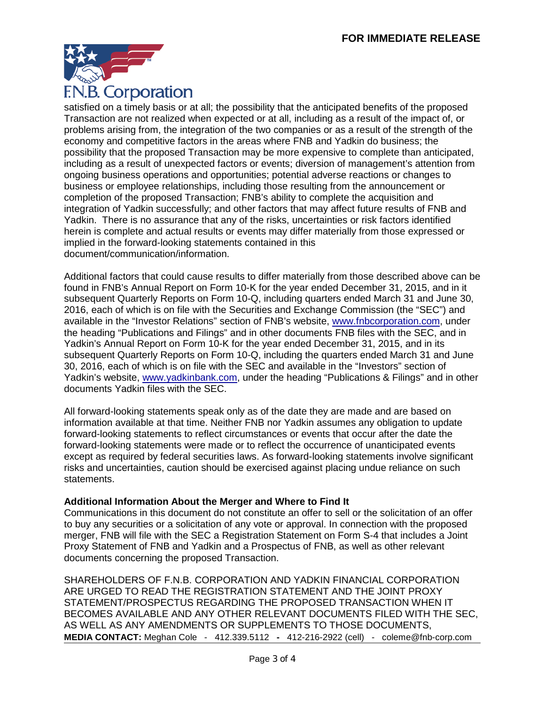

satisfied on a timely basis or at all; the possibility that the anticipated benefits of the proposed Transaction are not realized when expected or at all, including as a result of the impact of, or problems arising from, the integration of the two companies or as a result of the strength of the economy and competitive factors in the areas where FNB and Yadkin do business; the possibility that the proposed Transaction may be more expensive to complete than anticipated, including as a result of unexpected factors or events; diversion of management's attention from ongoing business operations and opportunities; potential adverse reactions or changes to business or employee relationships, including those resulting from the announcement or completion of the proposed Transaction; FNB's ability to complete the acquisition and integration of Yadkin successfully; and other factors that may affect future results of FNB and Yadkin. There is no assurance that any of the risks, uncertainties or risk factors identified herein is complete and actual results or events may differ materially from those expressed or implied in the forward-looking statements contained in this document/communication/information.

Additional factors that could cause results to differ materially from those described above can be found in FNB's Annual Report on Form 10-K for the year ended December 31, 2015, and in it subsequent Quarterly Reports on Form 10-Q, including quarters ended March 31 and June 30, 2016, each of which is on file with the Securities and Exchange Commission (the "SEC") and available in the "Investor Relations" section of FNB's website, [www.fnbcorporation.com,](http://www.fnb-online.com/) under the heading "Publications and Filings" and in other documents FNB files with the SEC, and in Yadkin's Annual Report on Form 10-K for the year ended December 31, 2015, and in its subsequent Quarterly Reports on Form 10-Q, including the quarters ended March 31 and June 30, 2016, each of which is on file with the SEC and available in the "Investors" section of Yadkin's website, [www.yadkinbank.com,](http://www.yadkinbank.com/) under the heading "Publications & Filings" and in other documents Yadkin files with the SEC.

All forward-looking statements speak only as of the date they are made and are based on information available at that time. Neither FNB nor Yadkin assumes any obligation to update forward-looking statements to reflect circumstances or events that occur after the date the forward-looking statements were made or to reflect the occurrence of unanticipated events except as required by federal securities laws. As forward-looking statements involve significant risks and uncertainties, caution should be exercised against placing undue reliance on such statements.

## **Additional Information About the Merger and Where to Find It**

Communications in this document do not constitute an offer to sell or the solicitation of an offer to buy any securities or a solicitation of any vote or approval. In connection with the proposed merger, FNB will file with the SEC a Registration Statement on Form S-4 that includes a Joint Proxy Statement of FNB and Yadkin and a Prospectus of FNB, as well as other relevant documents concerning the proposed Transaction.

**MEDIA CONTACT:** Meghan Cole - [412.339.5112](mailto:412.339.5112) **-** 412-216-2922 (cell) - coleme@fnb-corp.com SHAREHOLDERS OF F.N.B. CORPORATION AND YADKIN FINANCIAL CORPORATION ARE URGED TO READ THE REGISTRATION STATEMENT AND THE JOINT PROXY STATEMENT/PROSPECTUS REGARDING THE PROPOSED TRANSACTION WHEN IT BECOMES AVAILABLE AND ANY OTHER RELEVANT DOCUMENTS FILED WITH THE SEC, AS WELL AS ANY AMENDMENTS OR SUPPLEMENTS TO THOSE DOCUMENTS,